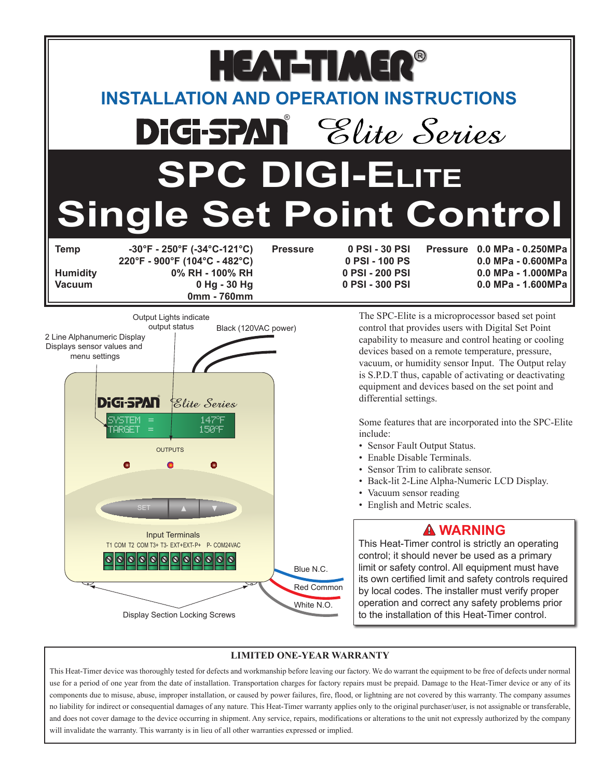

#### **Limited one-year warranty**

This Heat-Timer device was thoroughly tested for defects and workmanship before leaving our factory. We do warrant the equipment to be free of defects under normal use for a period of one year from the date of installation. Transportation charges for factory repairs must be prepaid. Damage to the Heat-Timer device or any of its components due to misuse, abuse, improper installation, or caused by power failures, fire, flood, or lightning are not covered by this warranty. The company assumes no liability for indirect or consequential damages of any nature. This Heat-Timer warranty applies only to the original purchaser/user, is not assignable or transferable, and does not cover damage to the device occurring in shipment. Any service, repairs, modifications or alterations to the unit not expressly authorized by the company will invalidate the warranty. This warranty is in lieu of all other warranties expressed or implied.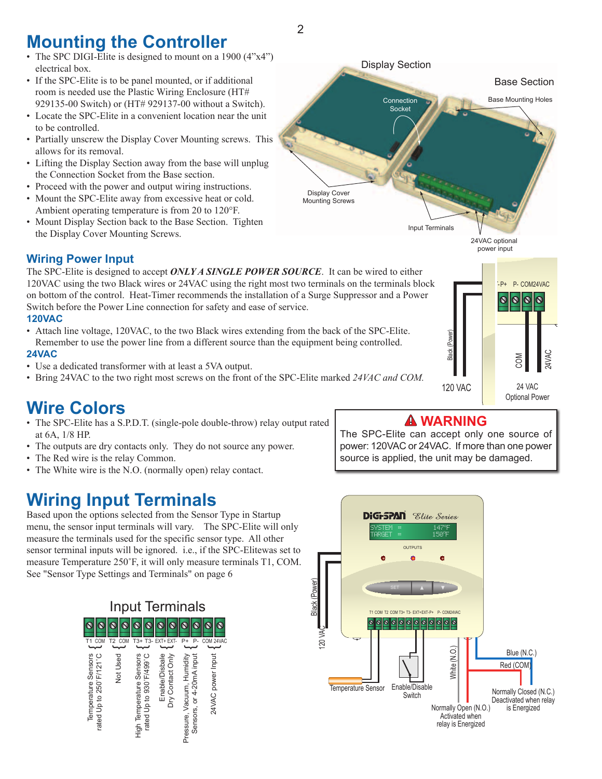# **Mounting the Controller**

- The SPC DIGI-Elite is designed to mount on a 1900  $(4"x4")$ electrical box.
- If the SPC-Elite is to be panel mounted, or if additional room is needed use the Plastic Wiring Enclosure  $(HT#$ 929135-00 Switch) or (HT# 929137-00 without a Switch).
- Locate the SPC-Elite in a convenient location near the unit to be controlled.
- Partially unscrew the Display Cover Mounting screws. This allows for its removal.
- Lifting the Display Section away from the base will unplug the Connection Socket from the Base section.
- Proceed with the power and output wiring instructions.
- Mount the SPC-Elite away from excessive heat or cold. Ambient operating temperature is from 20 to  $120^{\circ}$ F.
- Mount Display Section back to the Base Section. Tighten the Display Cover Mounting Screws.



#### **Wiring Power Input**

The SPC-Elite is designed to accept *ONLY A SINGLE POWER SOURCE*. It can be wired to either 120VAC using the two Black wires or 24VAC using the right most two terminals on the terminals block on bottom of the control. Heat-Timer recommends the installation of a Surge Suppressor and a Power Switch before the Power Line connection for safety and ease of service.

#### **120VAC**

• Attach line voltage, 120VAC, to the two Black wires extending from the back of the SPC-Elite. Remember to use the power line from a different source than the equipment being controlled.

#### **24VAC**

- Use a dedicated transformer with at least a 5VA output.
- Bring 24VAC to the two right most screws on the front of the SPC-Elite marked 24VAC and COM.

# **Wire Colors**

- The SPC-Elite has a S.P.D.T. (single-pole double-throw) relay output rated at 6A, 1/8 HP.
- The outputs are dry contacts only. They do not source any power.
- The Red wire is the relay Common.
- The White wire is the N.O. (normally open) relay contact.

# **Wiring Input Terminals**

Based upon the options selected from the Sensor Type in Startup menu, the sensor input terminals will vary. The SPC-Elite will only measure the terminals used for the specific sensor type. All other sensor terminal inputs will be ignored. i.e., if the SPC-Elitewas set to measure Temperature 250°F, it will only measure terminals T1, COM. [See "Sensor Type Settings and Terminals" on page 6](#page-5-0)



### **WARNING**

**120 VAC Black (Power)**<br> **120 VAC** 

power input

Q Q

> 24 VAC E<br>
> E<br>
> 24 VAC<br>
> Optional Power

 $E-P+$  P- COM24VAC

 $\bullet$ 

K

The SPC-Elite can accept only one source of power: 120VAC or 24VAC. If more than one power source is applied, the unit may be damaged.



 $\mathfrak{p}$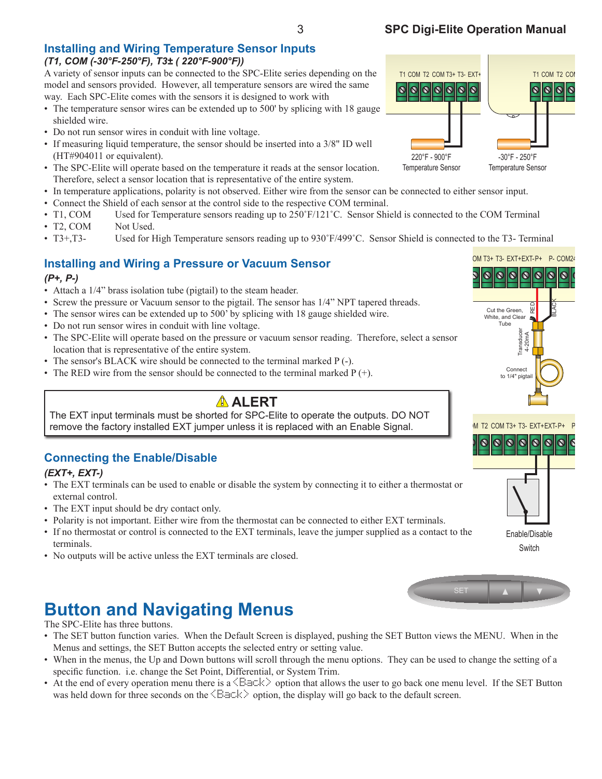#### **Installing and Wiring Temperature Sensor Inputs** *(T1, COM (-30°F-250°F), T3± ( 220°F-900°F))*

A variety of sensor inputs can be connected to the SPC-Elite series depending on the model and sensors provided. However, all temperature sensors are wired the same way. Each SPC-Elite comes with the sensors it is designed to work with

- The temperature sensor wires can be extended up to 500' by splicing with 18 gauge shielded wire.
- Do not run sensor wires in conduit with line voltage.
- If measuring liquid temperature, the sensor should be inserted into a 3/8" ID well  $(HT#904011$  or equivalent).
- The SPC-Elite will operate based on the temperature it reads at the sensor location. Therefore, select a sensor location that is representative of the entire system.
- In temperature applications, polarity is not observed. Either wire from the sensor can be connected to either sensor input.
- Connect the Shield of each sensor at the control side to the respective COM terminal.
- T1, COM Used for Temperature sensors reading up to  $250°F/121°C$ . Sensor Shield is connected to the COM Terminal
- T2, COM Not Used.
- T3+,T3- Used for High Temperature sensors reading up to 930°F/499°C. Sensor Shield is connected to the T3- Terminal

### **Installing and Wiring a Pressure or Vacuum Sensor**

#### *(P+, P-)*

- Attach a  $1/4$ " brass isolation tube (pigtail) to the steam header.
- Screw the pressure or Vacuum sensor to the pigtail. The sensor has  $1/4$ " NPT tapered threads.
- The sensor wires can be extended up to 500' by splicing with 18 gauge shielded wire.
- Do not run sensor wires in conduit with line voltage.
- The SPC-Elite will operate based on the pressure or vacuum sensor reading. Therefore, select a sensor location that is representative of the entire system.
- The sensor's BLACK wire should be connected to the terminal marked P (-).
- The RED wire from the sensor should be connected to the terminal marked  $P (+)$ .

### **ALERT**

The EXT input terminals must be shorted for SPC-Elite to operate the outputs. DO NOT remove the factory installed EXT jumper unless it is replaced with an Enable Signal.

### **Connecting the Enable/Disable**

#### *(EXT+, EXT-)*

- The EXT terminals can be used to enable or disable the system by connecting it to either a thermostat or external control.
- The EXT input should be dry contact only.
- Polarity is not important. Either wire from the thermostat can be connected to either EXT terminals.
- If no thermostat or control is connected to the EXT terminals, leave the jumper supplied as a contact to the terminals.
- No outputs will be active unless the EXT terminals are closed.

# **Button and Navigating Menus**

The SPC-Elite has three buttons.

- The SET button function varies. When the Default Screen is displayed, pushing the SET Button views the MENU. When in the Menus and settings, the SET Button accepts the selected entry or setting value.
- When in the menus, the Up and Down buttons will scroll through the menu options. They can be used to change the setting of a specific function. *i.e.* change the Set Point, Differential, or System Trim.
- At the end of every operation menu there is a  $\equiv \equiv k$  option that allows the user to go back one menu level. If the SET Button was held down for three seconds on the *EBACK* option, the display will go back to the default screen.





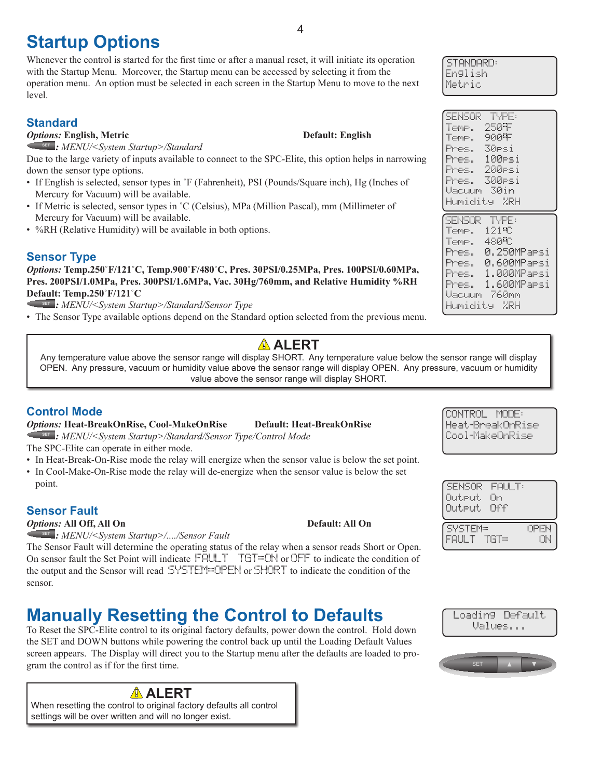**Startup Options**

Whenever the control is started for the first time or after a manual reset, it will initiate its operation with the Startup Menu. Moreover, the Startup menu can be accessed by selecting it from the operation menu. An option must be selected in each screen in the Startup Menu to move to the next level.

### **Standard**

#### *Options:* **english, metric default: english**

SET **SET** *: MENU/<System Startup>/Standard*

Due to the large variety of inputs available to connect to the SPC-Elite, this option helps in narrowing down the sensor type options.

- If English is selected, sensor types in <sup>°</sup>F (Fahrenheit), PSI (Pounds/Square inch), Hg (Inches of Mercury for Vacuum) will be available.
- If Metric is selected, sensor types in °C (Celsius), MPa (Million Pascal), mm (Millimeter of Mercury for Vacuum) will be available.
- $\%RH$  (Relative Humidity) will be available in both options.

#### **Sensor Type**

*Options:* **temp.250**˚**F/121**˚**C, temp.900**˚**F/480**˚**C, Pres. 30PSi/0.25mPa, Pres. 100PSi/0.60mPa,**  Pres. 200PSI/1.0MPa, Pres. 300PSI/1.6MPa, Vac. 30Hg/760mm, and Relative Humidity %RH **default: temp.250**˚**F/121**˚**C**

SET **SET** *: MENU/<System Startup>/Standard/Sensor Type*

• The Sensor Type available options depend on the Standard option selected from the previous menu.

### **ALERT**

Any temperature value above the sensor range will display SHORT. Any temperature value below the sensor range will display OPEN. Any pressure, vacuum or humidity value above the sensor range will display OPEN. Any pressure, vacuum or humidity value above the sensor range will display SHORT.

#### **Control Mode**

#### **Options: Heat-BreakOnRise, Cool-MakeOnRise Default: Heat-BreakOnRise**

**SET** : MENU/<System Startup>/Standard/Sensor Type/Control Mode

The SPC-Elite can operate in either mode.

- In Heat-Break-On-Rise mode the relay will energize when the sensor value is below the set point.
- In Cool-Make-On-Rise mode the relay will de-energize when the sensor value is below the set point.

#### **Sensor Fault**

*Options:* **All Off, All On Default: All On** 

SET **SET** *: MENU/<System Startup>/..../Sensor Fault*

The Sensor Fault will determine the operating status of the relay when a sensor reads Short or Open. On sensor fault the Set Point will indicate *FAULT TGT=ON* or *OFF* to indicate the condition of the output and the Sensor will read *SYSTEM=OPEN* or *SHORT* to indicate the condition of the sensor.

# **Manually Resetting the Control to Defaults**

To Reset the SPC-Elite control to its original factory defaults, power down the control. Hold down the SET and DOWN buttons while powering the control back up until the Loading Default Values screen appears. The Display will direct you to the Startup menu after the defaults are loaded to program the control as if for the first time.

### **ALERT**

When resetting the control to original factory defaults all control settings will be over written and will no longer exist.

#### *STANDARD: English Metric*

| SENSOR TYPE  |                     |
|--------------|---------------------|
| Temp.        | 250F                |
| Temp.        | 900F                |
| Hres.        | 30 <sub>PS1</sub>   |
| Pres.        | 100rsi              |
| Pres.        | 200 <del>r</del> si |
| Pres.        | <b>300rsi</b>       |
| Vacuum 30in  |                     |
| Humidity %RH |                     |
|              |                     |
| 5OR.         | TYPE:               |
| Temp.        | $121\%$             |
| Temp.        | 480°C               |

*Pres. 0.250MPapsi Pres. 0.600MPapsi Pres. 1.000MPapsi Pres. 1.600MPapsi Vacuum 760mm Humidity %RH*

| i uascela ascendizi es<br>Cool-MakeOnRise |  |
|-------------------------------------------|--|
|                                           |  |

*Heat-BreakOnRise*

*CONTROL MODE:*

| SENSOR FAULT:<br>Outrut On<br>Outrut Off |             |
|------------------------------------------|-------------|
| SYSTEM=<br>FAULT TGT=                    | OPEN<br>184 |

|            | Values |  |
|------------|--------|--|
|            |        |  |
| <b>SET</b> |        |  |

*Loading Default*

#### 4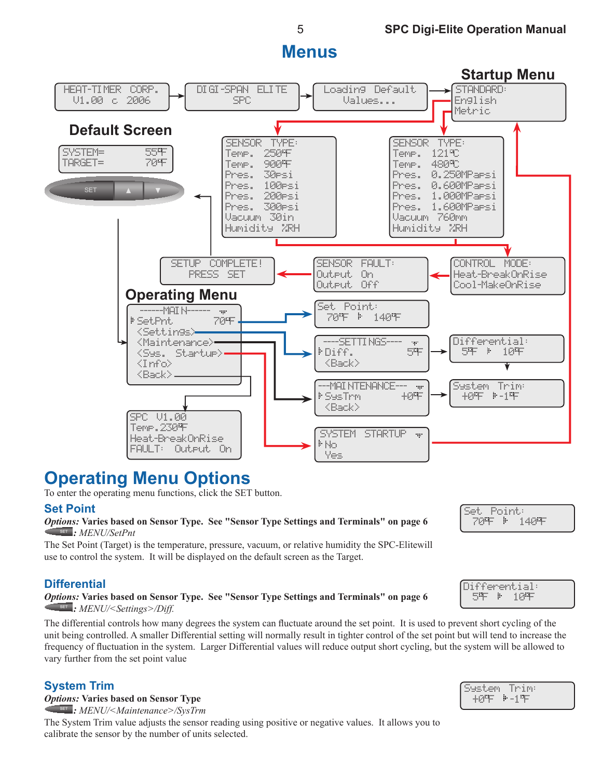### **Menus**



### **Operating Menu Options**

To enter the operating menu functions, click the SET button.

#### **Set Point**

#### *Options:* **Varies based on Sensor type. [See "Sensor type Settings and terminals" on page 6](#page-5-0)** SET **SET** *: MENU/SetPnt*

The Set Point (Target) is the temperature, pressure, vacuum, or relative humidity the SPC-Elitewill use to control the system. It will be displayed on the default screen as the Target.

#### **Differential**

*Options:* **Varies based on Sensor type. [See "Sensor type Settings and terminals" on page 6](#page-5-0)** SET : MENU/<Settings>/Diff.

> The differential controls how many degrees the system can fluctuate around the set point. It is used to prevent short cycling of the unit being controlled. A smaller Differential setting will normally result in tighter control of the set point but will tend to increase the frequency of fluctuation in the system. Larger Differential values will reduce output short cycling, but the system will be allowed to vary further from the set point value

#### **System Trim**

*Options:* **Varies based on Sensor Type** 

SET **SET** *: MENU/<Maintenance>/SysTrm*

The System Trim value adjusts the sensor reading using positive or negative values. It allows you to calibrate the sensor by the number of units selected.

*Set Point: 70 F 140 F*

|   |  |   | Differential: |  |  |
|---|--|---|---------------|--|--|
| ٠ |  | þ |               |  |  |

| <br><br><br><br><br><br><br>$- - -$<br><br>þ<br><br> | ٠<br><br><br>----<br>$\cdots$<br> |
|------------------------------------------------------|-----------------------------------|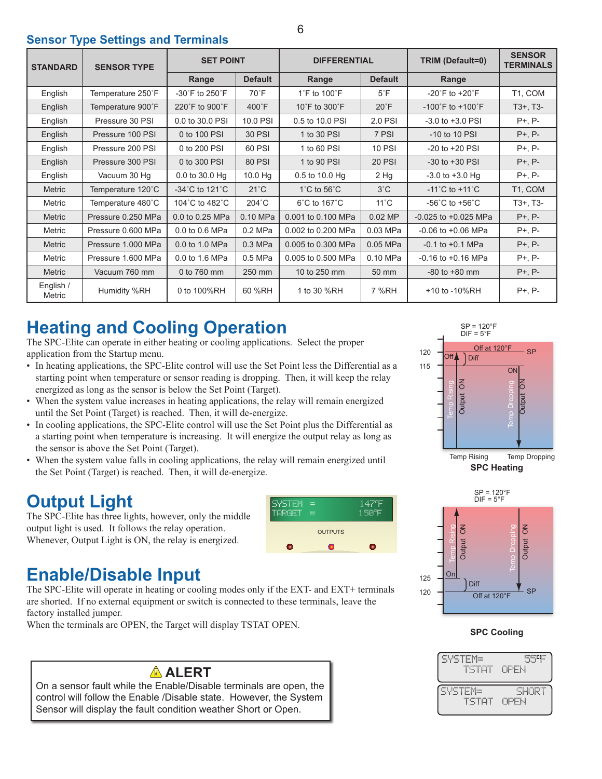### <span id="page-5-0"></span>**Sensor Type Settings and Terminals**

| <b>STANDARD</b>     | <b>SENSOR TYPE</b> | <b>SET POINT</b>                    |                | <b>DIFFERENTIAL</b>              |                | <b>TRIM (Default=0)</b>              | <b>SENSOR</b><br><b>TERMINALS</b> |
|---------------------|--------------------|-------------------------------------|----------------|----------------------------------|----------------|--------------------------------------|-----------------------------------|
|                     |                    | Range                               | <b>Default</b> | Range                            | <b>Default</b> | Range                                |                                   |
| English             | Temperature 250°F  | $-30^\circ$ F to 250 $^\circ$ F     | $70^{\circ}$ F | $1^\circ$ F to $100^\circ$ F     | $5^{\circ}$ F  | $-20^\circ$ F to $+20^\circ$ F       | T1, COM                           |
| English             | Temperature 900°F  | 220°F to 900°F                      | 400°F          | 10°F to 300°F                    | $20^{\circ}$ F | $-100^{\circ}$ F to $+100^{\circ}$ F | T3+, T3-                          |
| English             | Pressure 30 PSI    | 0.0 to 30.0 PSI                     | 10.0 PSI       | 0.5 to 10.0 PSI                  | 2.0 PSI        | $-3.0$ to $+3.0$ PSI                 | $P_{+}$ , $P_{-}$                 |
| English             | Pressure 100 PSI   | 0 to 100 PSI                        | <b>30 PSI</b>  | 1 to 30 PSI                      | 7 PSI          | -10 to 10 PSI                        | $P_{+}$ , $P_{-}$                 |
| English             | Pressure 200 PSI   | 0 to 200 PSI                        | 60 PSI         | 1 to 60 PSI                      | <b>10 PSI</b>  | $-20$ to $+20$ PSI                   | $P_{+}$ , $P_{-}$                 |
| English             | Pressure 300 PSI   | 0 to 300 PSI                        | <b>80 PSI</b>  | 1 to 90 PSI                      | <b>20 PSI</b>  | $-30$ to $+30$ PSI                   | $P_{+}$ , $P_{-}$                 |
| English             | Vacuum 30 Hq       | 0.0 to 30.0 Hg                      | 10.0 Hg        | 0.5 to 10.0 Hg                   | $2$ Hq         | $-3.0$ to $+3.0$ Hq                  | $P_{+}$ , $P_{-}$                 |
| <b>Metric</b>       | Temperature 120°C  | $-34^{\circ}$ C to 121 $^{\circ}$ C | $21^{\circ}$ C | $1^{\circ}$ C to 56 $^{\circ}$ C | $3^\circ$ C    | $-11^{\circ}$ C to $+11^{\circ}$ C   | T1, COM                           |
| Metric              | Temperature 480°C  | 104°C to 482°C                      | 204°C          | 6°C to 167°C                     | $11^{\circ}$ C | $-56^{\circ}$ C to $+56^{\circ}$ C   | T3+, T3-                          |
| <b>Metric</b>       | Pressure 0.250 MPa | 0.0 to 0.25 MPa                     | 0.10 MPa       | 0.001 to 0.100 MPa               | $0.02$ MP      | $-0.025$ to $+0.025$ MPa             | $P_{+}$ , $P_{-}$                 |
| Metric              | Pressure 0.600 MPa | 0.0 to 0.6 MPa                      | $0.2$ MPa      | 0.002 to 0.200 MPa               | 0.03 MPa       | $-0.06$ to $+0.06$ MPa               | $P_{+}$ , $P_{-}$                 |
| <b>Metric</b>       | Pressure 1.000 MPa | 0.0 to 1.0 MPa                      | $0.3$ MPa      | 0.005 to 0.300 MPa               | 0.05 MPa       | $-0.1$ to $+0.1$ MPa                 | $P_{+}$ , $P_{-}$                 |
| Metric              | Pressure 1,600 MPa | 0.0 to 1.6 MPa                      | 0.5 MPa        | 0.005 to 0.500 MPa               | 0.10 MPa       | $-0.16$ to $+0.16$ MPa               | $P_{+}$ , $P_{-}$                 |
| <b>Metric</b>       | Vacuum 760 mm      | 0 to 760 mm                         | 250 mm         | 10 to 250 mm                     | 50 mm          | $-80$ to $+80$ mm                    | $P_{+}$ , $P_{-}$                 |
| English /<br>Metric | Humidity %RH       | 0 to 100%RH                         | 60 %RH         | 1 to 30 %RH                      | 7 %RH          | $+10$ to $-10\%$ RH                  | $P_{+}$ , $P_{-}$                 |

# **Heating and Cooling Operation**

The SPC-Elite can operate in either heating or cooling applications. Select the proper application from the Startup menu.

- In heating applications, the SPC-Elite control will use the Set Point less the Differential as a starting point when temperature or sensor reading is dropping. Then, it will keep the relay energized as long as the sensor is below the Set Point (Target).
- When the system value increases in heating applications, the relay will remain energized until the Set Point (Target) is reached. Then, it will de-energize.
- In cooling applications, the SPC-Elite control will use the Set Point plus the Differential as a starting point when temperature is increasing. It will energize the output relay as long as the sensor is above the Set Point (Target).
- When the system value falls in cooling applications, the relay will remain energized until the Set Point (Target) is reached. Then, it will de-energize.

# **Output Light**

The SPC-Elite has three lights, however, only the middle output light is used. It follows the relay operation. output light is used. It follows the relay operation. Decrease output System output Light is ON, the relay is energized.



# **Enable/Disable Input**

The SPC-Elite will operate in heating or cooling modes only if the EXT- and EXT+ terminals are shorted. If no external equipment or switch is connected to these terminals, leave the factory installed jumper.

When the terminals are OPEN, the Target will display TSTAT OPEN.

### **ALERT**

On a sensor fault while the Enable/Disable terminals are open, the control will follow the Enable /Disable state. However, the System Sensor will display the fault condition weather Short or Open.





**SPC Cooling**

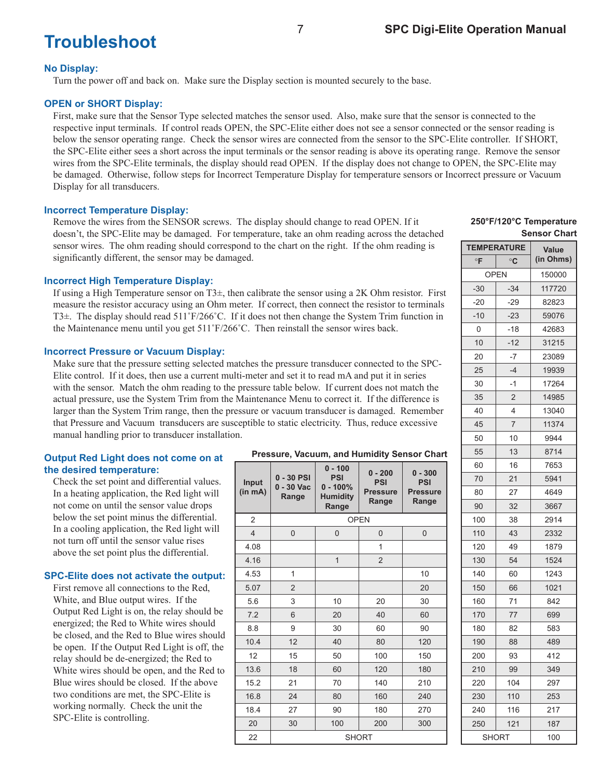### **Troubleshoot**

#### **No Display:**

Turn the power off and back on. Make sure the Display section is mounted securely to the base.

#### **OPEN or SHORT Display:**

First, make sure that the Sensor Type selected matches the sensor used. Also, make sure that the sensor is connected to the respective input terminals. If control reads OPEN, the SPC-Elite either does not see a sensor connected or the sensor reading is below the sensor operating range. Check the sensor wires are connected from the sensor to the SPC-Elite controller. If SHORT, the SPC-Elite either sees a short across the input terminals or the sensor reading is above its operating range. Remove the sensor wires from the SPC-Elite terminals, the display should read OPEN. If the display does not change to OPEN, the SPC-Elite may be damaged. Otherwise, follow steps for Incorrect Temperature Display for temperature sensors or Incorrect pressure or Vacuum Display for all transducers.

#### **Incorrect Temperature Display:**

Remove the wires from the SENSOR screws. The display should change to read OPEN. If it doesn't, the SPC-Elite may be damaged. For temperature, take an ohm reading across the detached sensor wires. The ohm reading should correspond to the chart on the right. If the ohm reading is significantly different, the sensor may be damaged.

#### **Incorrect High Temperature Display:**

If using a High Temperature sensor on T3 $\pm$ , then calibrate the sensor using a 2K Ohm resistor. First measure the resistor accuracy using an Ohm meter. If correct, then connect the resistor to terminals T3 $\pm$ . The display should read 511°F/266°C. If it does not then change the System Trim function in the Maintenance menu until you get  $511^{\circ}F/266^{\circ}C$ . Then reinstall the sensor wires back.

#### **Incorrect Pressure or Vacuum Display:**

Make sure that the pressure setting selected matches the pressure transducer connected to the SPC-Elite control. If it does, then use a current multi-meter and set it to read mA and put it in series with the sensor. Match the ohm reading to the pressure table below. If current does not match the actual pressure, use the System Trim from the Maintenance Menu to correct it. If the difference is larger than the System Trim range, then the pressure or vacuum transducer is damaged. Remember that Pressure and Vacuum transducers are susceptible to static electricity. Thus, reduce excessive manual handling prior to transducer installation.

#### **Output Red Light does not come on at the desired temperature:**

 Check the set point and differential values. In a heating application, the Red light will not come on until the sensor value drops below the set point minus the differential. In a cooling application, the Red light will not turn off until the sensor value rises above the set point plus the differential.

#### **SPC-Elite does not activate the output:**

First remove all connections to the Red, White, and Blue output wires. If the Output Red Light is on, the relay should be energized; the Red to White wires should be closed, and the Red to Blue wires should be open. If the Output Red Light is off, the relay should be de-energized; the Red to White wires should be open, and the Red to Blue wires should be closed. If the above two conditions are met, the SPC-Elite is working normally. Check the unit the SPC-Elite is controlling.

#### **Pressure, Vacuum, and Humidity Sensor Chart**

| Input<br>(in mA) | 0 - 30 PSI<br>$0 - 30$ Vac<br>Range | $0 - 100$<br><b>PSI</b><br>$0 - 100%$<br><b>Humidity</b><br>Range | $0 - 200$<br><b>PSI</b><br><b>Pressure</b><br>Range | $0 - 300$<br><b>PSI</b><br><b>Pressure</b><br>Range |
|------------------|-------------------------------------|-------------------------------------------------------------------|-----------------------------------------------------|-----------------------------------------------------|
| $\overline{2}$   |                                     | <b>OPEN</b>                                                       |                                                     |                                                     |
| $\overline{4}$   | 0                                   | 0                                                                 | 0                                                   | 0                                                   |
| 4.08             |                                     |                                                                   | 1                                                   |                                                     |
| 4.16             |                                     | $\overline{1}$                                                    | $\overline{2}$                                      |                                                     |
| 4.53             | $\overline{1}$                      |                                                                   |                                                     | 10                                                  |
| 5.07             | $\overline{2}$                      |                                                                   |                                                     | 20                                                  |
| 5.6              | 3                                   | 10                                                                | 20                                                  | 30                                                  |
| 7.2              | 6                                   | 20                                                                | 40                                                  | 60                                                  |
| 8.8              | 9                                   | 30                                                                | 60                                                  | 90                                                  |
| 10.4             | 12                                  | 40                                                                | 80                                                  | 120                                                 |
| 12               | 15                                  | 50                                                                | 100                                                 | 150                                                 |
| 13.6             | 18                                  | 60                                                                | 120                                                 | 180                                                 |
| 15.2             | 21                                  | 70                                                                | 140                                                 | 210                                                 |
| 16.8             | 24                                  | 80                                                                | 160                                                 | 240                                                 |
| 18.4             | 27                                  | 90                                                                | 180                                                 | 270                                                 |
| 20               | 30                                  | 100                                                               | 200                                                 | 300                                                 |
| 22               |                                     | <b>SHORT</b>                                                      |                                                     |                                                     |

#### **250°F/120°C Temperature Sensor Chart**

| <b>TEMPERATURE</b> | Value     |           |
|--------------------|-----------|-----------|
| $\circ$ F          | $\circ$ C | (in Ohms) |
|                    | OPEN      | 150000    |
| $-30$              | $-34$     | 117720    |
| -20                | -29       | 82823     |
| -10                | $-23$     | 59076     |
| 0                  | -18       | 42683     |
| 10                 | -12       | 31215     |
| 20                 | -7        | 23089     |
| 25                 | $-4$      | 19939     |
| 30                 | $-1$      | 17264     |
| 35                 | 2         | 14985     |
| 40                 | 4         | 13040     |
| 45                 | 7         | 11374     |
| 50                 | 10        | 9944      |
| 55                 | 13        | 8714      |
| 60                 | 16        | 7653      |
| 70                 | 21        | 5941      |
| 80                 | 27        | 4649      |
| 90                 | 32        | 3667      |
| 100                | 38        | 2914      |
| 110                | 43        | 2332      |
| 120                | 49        | 1879      |
| 130                | 54        | 1524      |
| 140                | 60        | 1243      |
| 150                | 66        | 1021      |
| 160                | 71        | 842       |
| 170                | 77        | 699       |
| 180                | 82        | 583       |
| 190                | 88        | 489       |
| 200                | 93        | 412       |
| 210                | 99        | 349       |
| 220                | 104       | 297       |
| 230                | 110       | 253       |
| 240                | 116       | 217       |
| 250                | 121       | 187       |
| <b>SHORT</b>       |           | 100       |